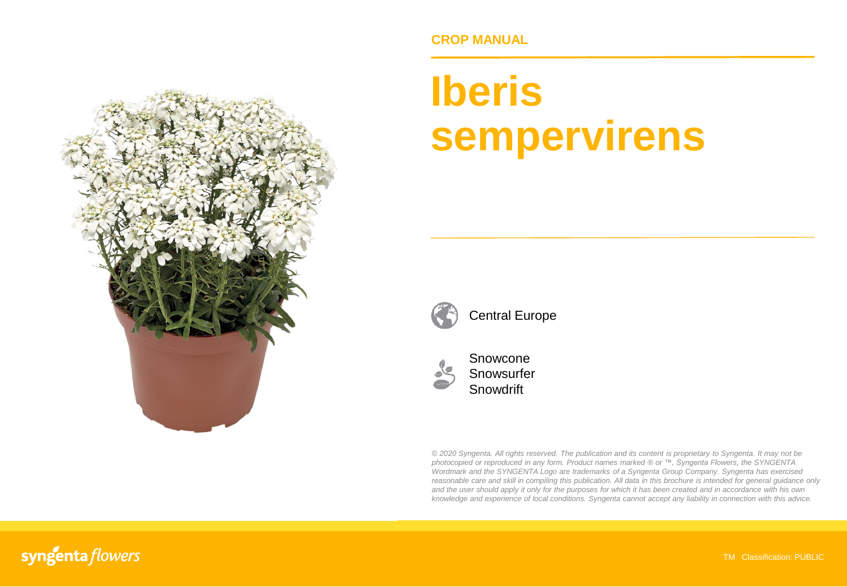

**CROP MANUAL**

# **Iberis sempervirens**



Central Europe



Snowcone Snowsurfer **Snowdrift** 

*© 2020 Syngenta. All rights reserved. The publication and its content is proprietary to Syngenta. It may not be photocopied or reproduced in any form. Product names marked ® or ™, Syngenta Flowers, the SYNGENTA Wordmark and the SYNGENTA Logo are trademarks of a Syngenta Group Company. Syngenta has exercised reasonable care and skill in compiling this publication. All data in this brochure is intended for general guidance only* and the user should apply it only for the purposes for which it has been created and in accordance with his own *knowledge and experience of local conditions. Syngenta cannot accept any liability in connection with this advice.*

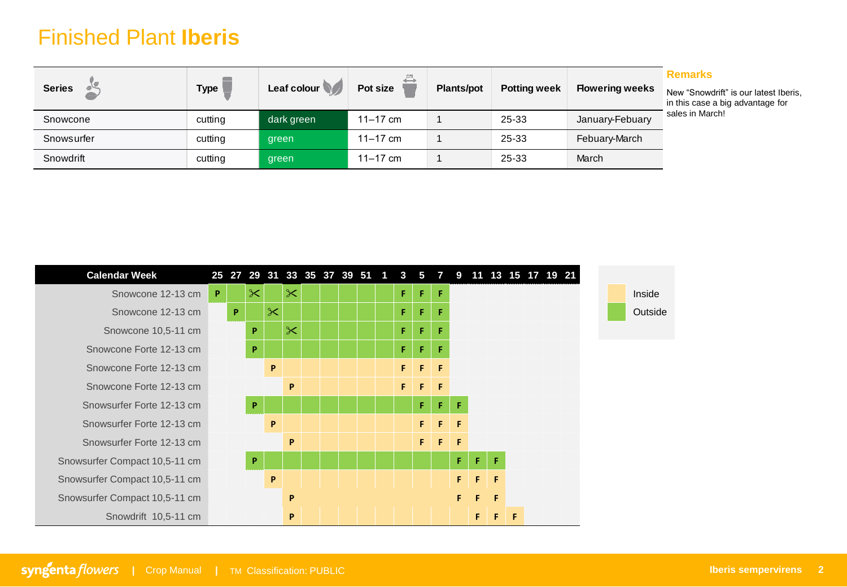## Finished Plant **Iberis**

| <b>Series</b> | <b>Type</b> | Leaf colour | Pot size     | <b>Plants/pot</b> | <b>Potting week</b> | <b>Flowering weeks</b><br>N<br>in |
|---------------|-------------|-------------|--------------|-------------------|---------------------|-----------------------------------|
| Snowcone      | cutting     | dark green  | $11 - 17$ cm |                   | 25-33               | S<br>January-Febuary              |
| Snowsurfer    | cutting     | green       | $11 - 17$ cm |                   | 25-33               | Febuary-March                     |
| Snowdrift     | cutting     | green       | $11 - 17$ cm |                   | 25-33               | March                             |

#### **Remarks**

New "Snowdrift" is our latest Iberis, If this case a big advantage for sales in March!

| <b>Calendar Week</b>          |   | 25 27 29 31 33 35 37 39 51 1 3 5 7 9 11 13 15 17 19 21 |          |          |                       |  |  |    |    |    |            |    |    |    |  |  |         |  |
|-------------------------------|---|--------------------------------------------------------|----------|----------|-----------------------|--|--|----|----|----|------------|----|----|----|--|--|---------|--|
| Snowcone 12-13 cm             | P |                                                        | $\times$ |          | $\infty$              |  |  | F. | F  | F  |            |    |    |    |  |  | Inside  |  |
| Snowcone 12-13 cm             |   | P                                                      |          | $\infty$ |                       |  |  | F  | F  | F  |            |    |    |    |  |  | Outside |  |
| Snowcone 10,5-11 cm           |   |                                                        | P        |          | $\boldsymbol{\times}$ |  |  | F  | F  | F  |            |    |    |    |  |  |         |  |
| Snowcone Forte 12-13 cm       |   |                                                        | P        |          |                       |  |  | F  | F  | F  |            |    |    |    |  |  |         |  |
| Snowcone Forte 12-13 cm       |   |                                                        |          | P        |                       |  |  | F. | F  | F  |            |    |    |    |  |  |         |  |
| Snowcone Forte 12-13 cm       |   |                                                        |          |          | P                     |  |  | F. | F  | -F |            |    |    |    |  |  |         |  |
| Snowsurfer Forte 12-13 cm     |   |                                                        | P        |          |                       |  |  |    | F  | F  | F          |    |    |    |  |  |         |  |
| Snowsurfer Forte 12-13 cm     |   |                                                        |          | P        |                       |  |  |    | F. | F  | - F        |    |    |    |  |  |         |  |
| Snowsurfer Forte 12-13 cm     |   |                                                        |          |          | P                     |  |  |    | F. |    | <b>FIF</b> |    |    |    |  |  |         |  |
| Snowsurfer Compact 10,5-11 cm |   |                                                        | P        |          |                       |  |  |    |    |    | F.         | F  | F  |    |  |  |         |  |
| Snowsurfer Compact 10,5-11 cm |   |                                                        |          | P        |                       |  |  |    |    |    | F.         | F  | F  |    |  |  |         |  |
| Snowsurfer Compact 10,5-11 cm |   |                                                        |          |          | P                     |  |  |    |    |    | F          | F  | F  |    |  |  |         |  |
| Snowdrift 10,5-11 cm          |   |                                                        |          |          | P                     |  |  |    |    |    |            | F. | F. | -F |  |  |         |  |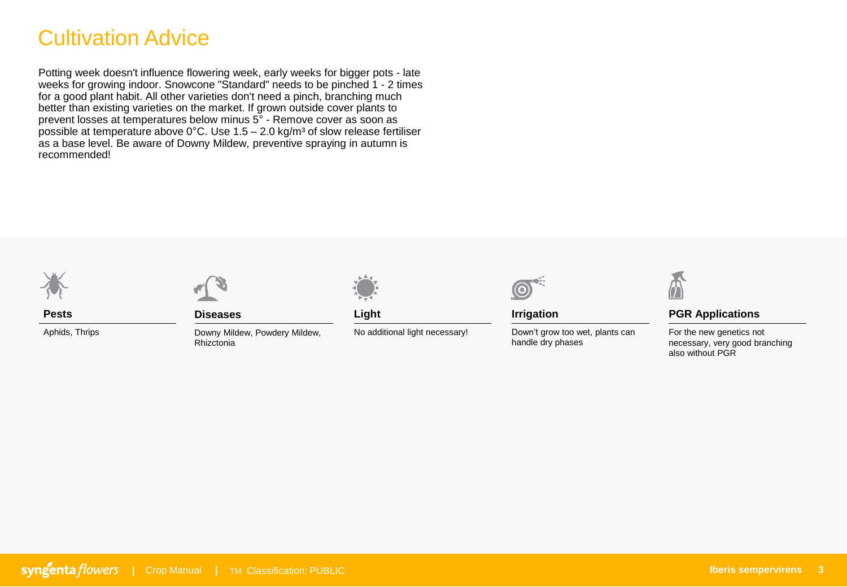## Cultivation Advice

Potting week doesn't influence flowering week, early weeks for bigger pots - late weeks for growing indoor. Snowcone "Standard" needs to be pinched 1 - 2 times for a good plant habit. All other varieties don't need a pinch, branching much better than existing varieties on the market. If grown outside cover plants to prevent losses at temperatures below minus 5° - Remove cover as soon as possible at temperature above  $0^{\circ}$ C. Use 1.5 – 2.0 kg/m<sup>3</sup> of slow release fertiliser as a base level. Be aware of Downy Mildew, preventive spraying in autumn is recommended!



**Pests**

Aphids, Thrips



**Diseases**

Downy Mildew, Powdery Mildew, Rhizctonia



**Light**

No additional light necessary!



**Irrigation**

Down't grow too wet, plants can handle dry phases



### **PGR Applications**

For the new genetics not necessary, very good branching also without PGR